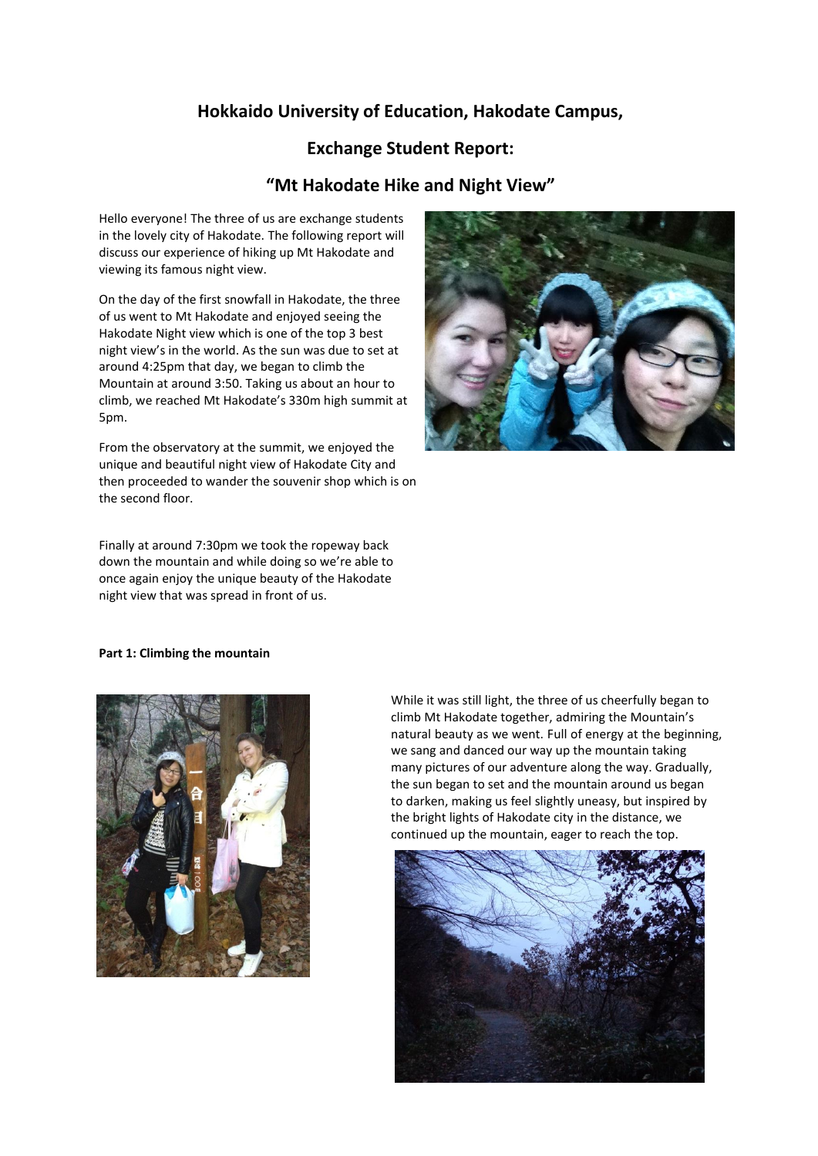# **Hokkaido University of Education, Hakodate Campus,**

## **Exchange Student Report:**

### **"Mt Hakodate Hike and Night View"**

Hello everyone! The three of us are exchange students in the lovely city of Hakodate. The following report will discuss our experience of hiking up Mt Hakodate and viewing its famous night view.

On the day of the first snowfall in Hakodate, the three of us went to Mt Hakodate and enjoyed seeing the Hakodate Night view which is one of the top 3 best night view's in the world. As the sun was due to set at around 4:25pm that day, we began to climb the Mountain at around 3:50. Taking us about an hour to climb, we reached Mt Hakodate's 330m high summit at 5pm.

From the observatory at the summit, we enjoyed the unique and beautiful night view of Hakodate City and then proceeded to wander the souvenir shop which is on the second floor.

Finally at around 7:30pm we took the ropeway back down the mountain and while doing so we're able to once again enjoy the unique beauty of the Hakodate night view that was spread in front of us.



#### **Part 1: Climbing the mountain**



While it was still light, the three of us cheerfully began to climb Mt Hakodate together, admiring the Mountain's natural beauty as we went. Full of energy at the beginning, we sang and danced our way up the mountain taking many pictures of our adventure along the way. Gradually, the sun began to set and the mountain around us began to darken, making us feel slightly uneasy, but inspired by the bright lights of Hakodate city in the distance, we continued up the mountain, eager to reach the top.

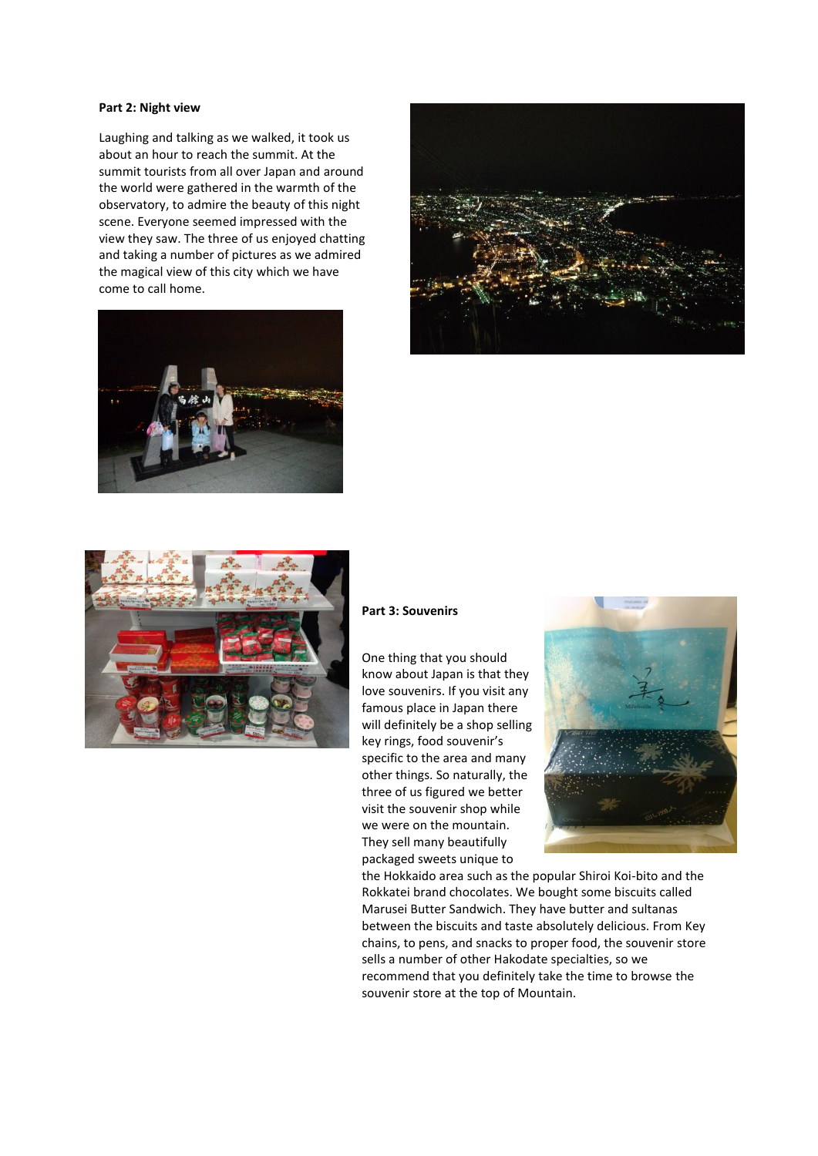#### **Part 2: Night view**

Laughing and talking as we walked, it took us about an hour to reach the summit. At the summit tourists from all over Japan and around the world were gathered in the warmth of the observatory, to admire the beauty of this night scene. Everyone seemed impressed with the view they saw. The three of us enjoyed chatting and taking a number of pictures as we admired the magical view of this city which we have come to call home.







#### **Part 3: Souvenirs**

One thing that you should know about Japan is that they love souvenirs. If you visit any famous place in Japan there will definitely be a shop selling key rings, food souvenir's specific to the area and many other things. So naturally, the three of us figured we better visit the souvenir shop while we were on the mountain. They sell many beautifully packaged sweets unique to



the Hokkaido area such as the popular Shiroi Koi-bito and the Rokkatei brand chocolates. We bought some biscuits called Marusei Butter Sandwich. They have butter and sultanas between the biscuits and taste absolutely delicious. From Key chains, to pens, and snacks to proper food, the souvenir store sells a number of other Hakodate specialties, so we recommend that you definitely take the time to browse the souvenir store at the top of Mountain.